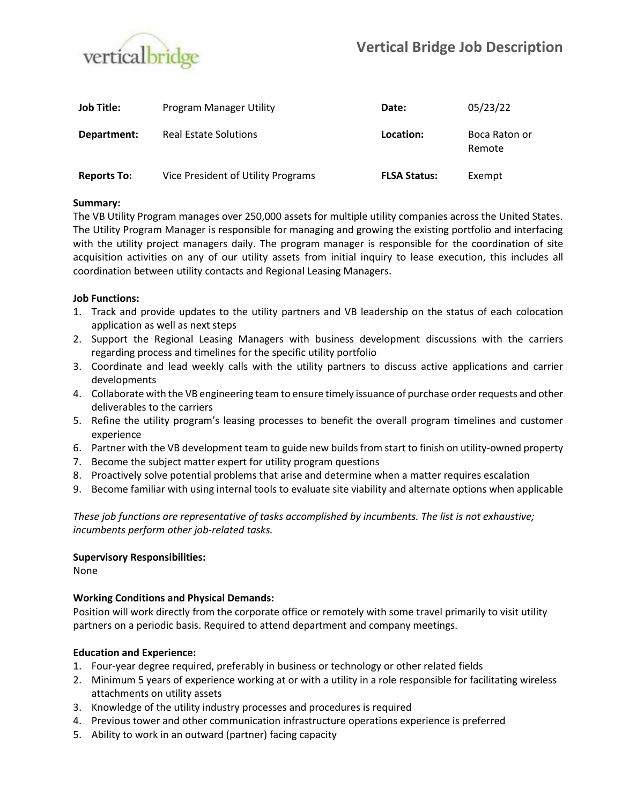

| <b>Job Title:</b>  | Program Manager Utility            | Date:               | 05/23/22                |
|--------------------|------------------------------------|---------------------|-------------------------|
| Department:        | <b>Real Estate Solutions</b>       | Location:           | Boca Raton or<br>Remote |
| <b>Reports To:</b> | Vice President of Utility Programs | <b>FLSA Status:</b> | Exempt                  |

## **Summary:**

The VB Utility Program manages over 250,000 assets for multiple utility companies across the United States. The Utility Program Manager is responsible for managing and growing the existing portfolio and interfacing with the utility project managers daily. The program manager is responsible for the coordination of site acquisition activities on any of our utility assets from initial inquiry to lease execution, this includes all coordination between utility contacts and Regional Leasing Managers.

## **Job Functions:**

- 1. Track and provide updates to the utility partners and VB leadership on the status of each colocation application as well as next steps
- 2. Support the Regional Leasing Managers with business development discussions with the carriers regarding process and timelines for the specific utility portfolio
- 3. Coordinate and lead weekly calls with the utility partners to discuss active applications and carrier developments
- 4. Collaborate with the VB engineering team to ensure timely issuance of purchase order requests and other deliverables to the carriers
- 5. Refine the utility program's leasing processes to benefit the overall program timelines and customer experience
- 6. Partner with the VB development team to guide new builds from start to finish on utility-owned property
- 7. Become the subject matter expert for utility program questions
- 8. Proactively solve potential problems that arise and determine when a matter requires escalation
- 9. Become familiar with using internal tools to evaluate site viability and alternate options when applicable

*These job functions are representative of tasks accomplished by incumbents. The list is not exhaustive; incumbents perform other job-related tasks.*

### **Supervisory Responsibilities:**

None

# **Working Conditions and Physical Demands:**

Position will work directly from the corporate office or remotely with some travel primarily to visit utility partners on a periodic basis. Required to attend department and company meetings.

# **Education and Experience:**

- 1. Four-year degree required, preferably in business or technology or other related fields
- 2. Minimum 5 years of experience working at or with a utility in a role responsible for facilitating wireless attachments on utility assets
- 3. Knowledge of the utility industry processes and procedures is required
- 4. Previous tower and other communication infrastructure operations experience is preferred
- 5. Ability to work in an outward (partner) facing capacity